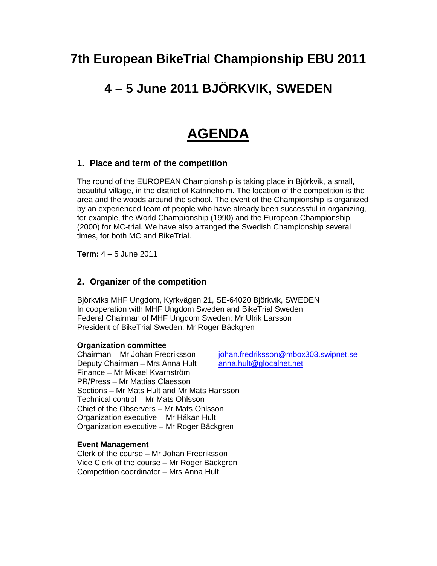**7th European BikeTrial Championship EBU 2011** 

# **4 – 5 June 2011 BJÖRKVIK, SWEDEN**

# **AGENDA**

## **1. Place and term of the competition**

The round of the EUROPEAN Championship is taking place in Björkvik, a small, beautiful village, in the district of Katrineholm. The location of the competition is the area and the woods around the school. The event of the Championship is organized by an experienced team of people who have already been successful in organizing, for example, the World Championship (1990) and the European Championship (2000) for MC-trial. We have also arranged the Swedish Championship several times, for both MC and BikeTrial.

**Term:** 4 – 5 June 2011

#### **2. Organizer of the competition**

Björkviks MHF Ungdom, Kyrkvägen 21, SE-64020 Björkvik, SWEDEN In cooperation with MHF Ungdom Sweden and BikeTrial Sweden Federal Chairman of MHF Ungdom Sweden: Mr Ulrik Larsson President of BikeTrial Sweden: Mr Roger Bäckgren

#### **Organization committee**

Chairman – Mr Johan Fredriksson johan.fredriksson@mbox303.swipnet.se Deputy Chairman – Mrs Anna Hult anna.hult@glocalnet.net Finance – Mr Mikael Kvarnström PR/Press – Mr Mattias Claesson Sections – Mr Mats Hult and Mr Mats Hansson Technical control – Mr Mats Ohlsson Chief of the Observers – Mr Mats Ohlsson Organization executive – Mr Håkan Hult Organization executive – Mr Roger Bäckgren

#### **Event Management**

Clerk of the course – Mr Johan Fredriksson Vice Clerk of the course – Mr Roger Bäckgren Competition coordinator – Mrs Anna Hult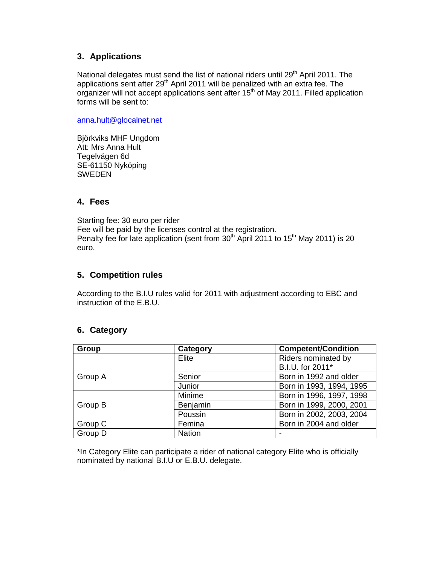# **3. Applications**

National delegates must send the list of national riders until  $29<sup>th</sup>$  April 2011. The applications sent after  $29<sup>th</sup>$  April 2011 will be penalized with an extra fee. The organizer will not accept applications sent after 15<sup>th</sup> of May 2011. Filled application forms will be sent to:

anna.hult@glocalnet.net

Björkviks MHF Ungdom Att: Mrs Anna Hult Tegelvägen 6d SE-61150 Nyköping **SWEDEN** 

## **4. Fees**

Starting fee: 30 euro per rider Fee will be paid by the licenses control at the registration. Penalty fee for late application (sent from 30<sup>th</sup> April 2011 to 15<sup>th</sup> May 2011) is 20 euro.

## **5. Competition rules**

According to the B.I.U rules valid for 2011 with adjustment according to EBC and instruction of the E.B.U.

# **6. Category**

| Group   | Category      | <b>Competent/Condition</b> |
|---------|---------------|----------------------------|
|         | Elite         | Riders nominated by        |
| Group A |               | B.I.U. for 2011*           |
|         | Senior        | Born in 1992 and older     |
|         | Junior        | Born in 1993, 1994, 1995   |
| Group B | Minime        | Born in 1996, 1997, 1998   |
|         | Benjamin      | Born in 1999, 2000, 2001   |
|         | Poussin       | Born in 2002, 2003, 2004   |
| Group C | Femina        | Born in 2004 and older     |
| Group D | <b>Nation</b> |                            |

\*In Category Elite can participate a rider of national category Elite who is officially nominated by national B.I.U or E.B.U. delegate.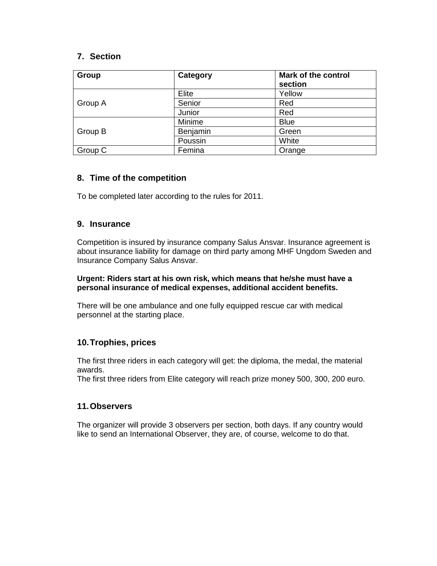## **7. Section**

| Group   | Category | <b>Mark of the control</b><br>section |
|---------|----------|---------------------------------------|
| Group A | Elite    | Yellow                                |
|         | Senior   | Red                                   |
|         | Junior   | Red                                   |
| Group B | Minime   | <b>Blue</b>                           |
|         | Benjamin | Green                                 |
|         | Poussin  | White                                 |
| Group C | Femina   | Orange                                |

## **8. Time of the competition**

To be completed later according to the rules for 2011.

## **9. Insurance**

Competition is insured by insurance company Salus Ansvar. Insurance agreement is about insurance liability for damage on third party among MHF Ungdom Sweden and Insurance Company Salus Ansvar.

#### **Urgent: Riders start at his own risk, which means that he/she must have a personal insurance of medical expenses, additional accident benefits.**

There will be one ambulance and one fully equipped rescue car with medical personnel at the starting place.

# **10. Trophies, prices**

The first three riders in each category will get: the diploma, the medal, the material awards.

The first three riders from Elite category will reach prize money 500, 300, 200 euro.

## **11. Observers**

The organizer will provide 3 observers per section, both days. If any country would like to send an International Observer, they are, of course, welcome to do that.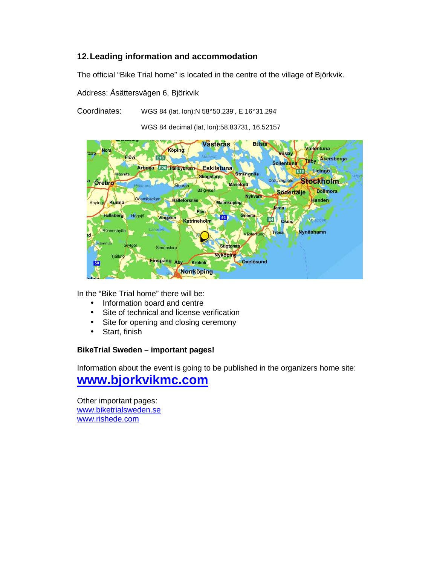# **12. Leading information and accommodation**

The official "Bike Trial home" is located in the centre of the village of Björkvik.

Address: Åsättersvägen 6, Björkvik

Coordinates:WGS 84 (lat, lon):N 58° 50.239', E 16° 31.294'

WGS 84 decimal (lat, lon):58.83731, 16.52157



In the "Bike Trial home" there will be:

- Information board and centre
- Site of technical and license verification
- Site for opening and closing ceremony
- Start, finish

# **BikeTrial Sweden – important pages!**

Information about the event is going to be published in the organizers home site: **www.bjorkvikmc.com**

Other important pages: www.biketrialsweden.se www.rishede.com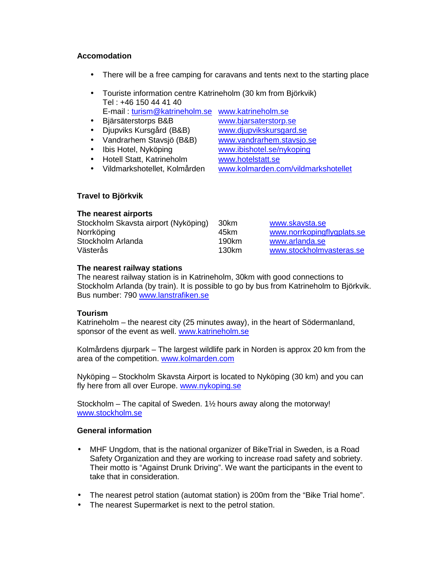## **Accomodation**

- There will be a free camping for caravans and tents next to the starting place
- Touriste information centre Katrineholm (30 km from Björkvik) Tel : +46 150 44 41 40 E-mail : turism@katrineholm.se www.katrineholm.se
- Bjärsäterstorps B&B www.bjarsaterstorp.se
- Djupviks Kursgård (B&B) www.djupvikskursgard.se
- Vandrarhem Stavsjö (B&B) www.vandrarhem.stavsjo.se
- Ibis Hotel, Nyköping www.ibishotel.se/nykoping
- Hotell Statt, Katrineholm www.hotelstatt.se
- 

- 
- 
- 
- 
- 
- 

• Vildmarkshotellet, Kolmården www.kolmarden.com/vildmarkshotellet

## **Travel to Björkvik**

#### **The nearest airports**

| Stockholm Skavsta airport (Nyköping) | 30km  | www.skavsta.se             |
|--------------------------------------|-------|----------------------------|
| Norrköping                           | 45km  | www.norrkopingflygplats.se |
| Stockholm Arlanda                    | 190km | www.arlanda.se             |
| Västerås                             | 130km | www.stockholmvasteras.se   |

## **The nearest railway stations**

The nearest railway station is in Katrineholm, 30km with good connections to Stockholm Arlanda (by train). It is possible to go by bus from Katrineholm to Björkvik. Bus number: 790 www.lanstrafiken.se

#### **Tourism**

Katrineholm – the nearest city (25 minutes away), in the heart of Södermanland, sponsor of the event as well. www.katrineholm.se

Kolmårdens djurpark – The largest wildlife park in Norden is approx 20 km from the area of the competition. www.kolmarden.com

Nyköping – Stockholm Skavsta Airport is located to Nyköping (30 km) and you can fly here from all over Europe. www.nykoping.se

Stockholm – The capital of Sweden. 1½ hours away along the motorway! www.stockholm.se

#### **General information**

- MHF Ungdom, that is the national organizer of BikeTrial in Sweden, is a Road Safety Organization and they are working to increase road safety and sobriety. Their motto is "Against Drunk Driving". We want the participants in the event to take that in consideration.
- The nearest petrol station (automat station) is 200m from the "Bike Trial home".
- The nearest Supermarket is next to the petrol station.